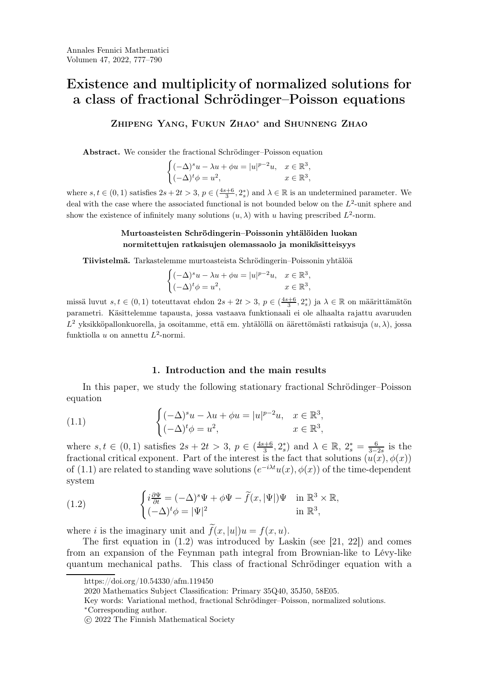# Zhipeng Yang, Fukun Zhao<sup>∗</sup> and Shunneng Zhao

Abstract. We consider the fractional Schrödinger–Poisson equation

$$
\begin{cases} (-\Delta)^s u - \lambda u + \phi u = |u|^{p-2}u, & x \in \mathbb{R}^3, \\ (-\Delta)^t \phi = u^2, & x \in \mathbb{R}^3, \end{cases}
$$

where  $s, t \in (0, 1)$  satisfies  $2s + 2t > 3$ ,  $p \in (\frac{4s+6}{3}, 2_s^*)$  and  $\lambda \in \mathbb{R}$  is an undetermined parameter. We deal with the case where the associated functional is not bounded below on the  $L^2$ -unit sphere and show the existence of infinitely many solutions  $(u, \lambda)$  with u having prescribed  $L^2$ -norm.

# Murtoasteisten Schrödingerin–Poissonin yhtälöiden luokan normitettujen ratkaisujen olemassaolo ja monikäsitteisyys

Tiivistelmä. Tarkastelemme murtoasteista Schrödingerin–Poissonin yhtälöä

$$
\begin{cases} (-\Delta)^s u - \lambda u + \phi u = |u|^{p-2}u, & x \in \mathbb{R}^3, \\ (-\Delta)^t \phi = u^2, & x \in \mathbb{R}^3, \end{cases}
$$

missä luvut  $s, t \in (0,1)$  toteuttavat ehdon  $2s + 2t > 3$ ,  $p \in (\frac{4s+6}{3}, 2_s^*)$  ja  $\lambda \in \mathbb{R}$  on määrittämätön parametri. Käsittelemme tapausta, jossa vastaava funktionaali ei ole alhaalta rajattu avaruuden  $L^2$  yksikköpallonkuorella, ja osoitamme, että em. yhtälöllä on äärettömästi ratkaisuja  $(u, \lambda)$ , jossa fun[kt](#page-0-0)[i](#page-0-1)[o](#page-0-2)[l](#page-0-4)la u on annettu  $L^2$ -normi.

### <span id="page-0-5"></span>1. Introduction and the main results

In this paper, we study the following stationary fractional Schrödinger–Poisson equation

(1.1) 
$$
\begin{cases} (-\Delta)^s u - \lambda u + \phi u = |u|^{p-2} u, & x \in \mathbb{R}^3, \\ (-\Delta)^t \phi = u^2, & x \in \mathbb{R}^3, \end{cases}
$$

where  $s, t \in (0, 1)$  satisfies  $2s + 2t > 3$ ,  $p \in (\frac{4s+6}{3})$  $(\frac{3+6}{3}, 2_s^*)$  and  $\lambda \in \mathbb{R}, 2_s^* = \frac{6}{3-1}$  $rac{6}{3-2s}$  is the fractional critical exponent. Part of the interest is the fact that solutions  $(u(x), \phi(x))$ of [\(1.1\)](#page-0-5) are related to standing wave solutions  $(e^{-i\lambda t}u(x), \phi(x))$  of the time-dependent system

<span id="page-0-6"></span>(1.2) 
$$
\begin{cases} i\frac{\partial \Psi}{\partial t} = (-\Delta)^s \Psi + \phi \Psi - \widetilde{f}(x, |\Psi|) \Psi & \text{in } \mathbb{R}^3 \times \mathbb{R}, \\ (-\Delta)^t \phi = |\Psi|^2 & \text{in } \mathbb{R}^3, \end{cases}
$$

where i is the imaginary unit and  $\tilde{f}(x, |u|)u = f(x, u)$ .

The first equation in  $(1.2)$  was introduced by Laskin (see [\[21,](#page-12-0) [22\]](#page-12-1)) and comes from an expansion of the Feynman path integral from Brownian-like to Lévy-like quantum mechanical paths. This class of fractional Schrödinger equation with a

https://doi.org/10.54330/afm.119450

<span id="page-0-0"></span><sup>2020</sup> Mathematics Subject Classification: Primary 35Q40, 35J50, 58E05.

<span id="page-0-1"></span>Key words: Variational method, fractional Schrödinger–Poisson, normalized solutions.

<span id="page-0-2"></span><sup>∗</sup>Corresponding author.

<span id="page-0-4"></span><span id="page-0-3"></span>c 2022 The Finnish Mathematical Society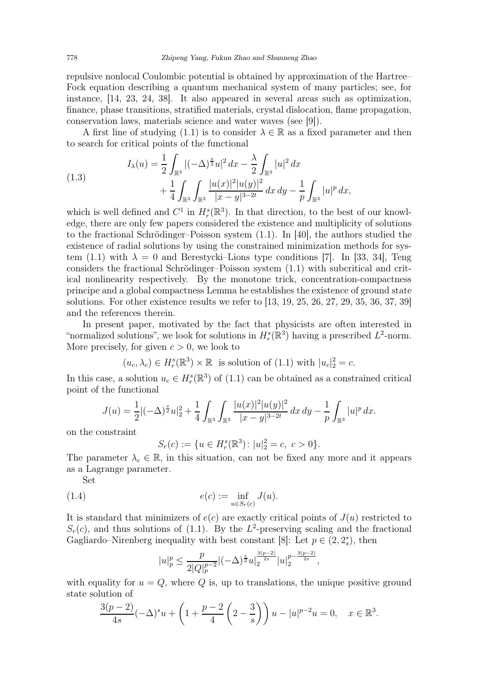repulsive nonlocal Coulombic potential is obtained by approximation of the Hartree– Fock equation describing a quantum mechanical system of many particles; see, for instance, [\[14,](#page-11-0) [23,](#page-12-2) [24,](#page-12-3) [38\]](#page-12-4). It also appeared in several areas such as optimization, finance, phase transitions, stratified materials, crystal dislocation, flame propagation, conservation laws, materials science and water waves (see [\[9\]](#page-11-1)).

A first line of studying [\(1.1\)](#page-0-5) is to consider  $\lambda \in \mathbb{R}$  as a fixed parameter and then to search for critical points of the functional

(1.3) 
$$
I_{\lambda}(u) = \frac{1}{2} \int_{\mathbb{R}^3} |(-\Delta)^{\frac{s}{2}} u|^2 dx - \frac{\lambda}{2} \int_{\mathbb{R}^3} |u|^2 dx + \frac{1}{4} \int_{\mathbb{R}^3} \int_{\mathbb{R}^3} \frac{|u(x)|^2 |u(y)|^2}{|x-y|^{3-2t}} dx dy - \frac{1}{p} \int_{\mathbb{R}^3} |u|^p dx,
$$

which is well defined and  $C^1$  in  $H_r^s(\mathbb{R}^3)$ . In that direction, to the best of our knowledge, there are only few papers considered the existence and multiplicity of solutions to the fractional Schrödinger–Poisson system [\(1.1\)](#page-0-5). In [\[40\]](#page-12-5), the authors studied the existence of radial solutions by using the constrained minimization methods for sys-tem [\(1.1\)](#page-0-5) with  $\lambda = 0$  and Berestycki–Lions type conditions [\[7\]](#page-11-2). In [\[33,](#page-12-6) [34\]](#page-12-7), Teng considers the fractional Schrödinger–Poisson system [\(1.1\)](#page-0-5) with subcritical and critical nonlinearity respectively. By the monotone trick, concentration-compactness principe and a global compactness Lemma he establishes the existence of ground state solutions. For other existence results we refer to [\[13,](#page-11-3) [19,](#page-11-4) [25,](#page-12-8) [26,](#page-12-9) [27,](#page-12-10) [29,](#page-12-11) [35,](#page-12-12) [36,](#page-12-13) [37,](#page-12-14) [39\]](#page-12-15) and the references therein.

In present paper, motivated by the fact that physicists are often interested in "normalized solutions", we look for solutions in  $H_r^s(\mathbb{R}^3)$  having a prescribed  $L^2$ -norm. More precisely, for given  $c > 0$ , we look to

$$
(u_c, \lambda_c) \in H_r^s(\mathbb{R}^3) \times \mathbb{R}
$$
 is solution of (1.1) with  $|u_c|_2^2 = c$ .

In this case, a solution  $u_c \in H_r^s(\mathbb{R}^3)$  of [\(1.1\)](#page-0-5) can be obtained as a constrained critical point of the functional

$$
J(u) = \frac{1}{2} |(-\Delta)^{\frac{s}{2}} u|_2^2 + \frac{1}{4} \int_{\mathbb{R}^3} \int_{\mathbb{R}^3} \frac{|u(x)|^2 |u(y)|^2}{|x - y|^{3 - 2t}} dx dy - \frac{1}{p} \int_{\mathbb{R}^3} |u|^p dx.
$$

on the constraint

<span id="page-1-0"></span>
$$
S_r(c) := \{ u \in H^s_r(\mathbb{R}^3) : |u|^2_2 = c, \ c > 0 \}.
$$

The parameter  $\lambda_c \in \mathbb{R}$ , in this situation, can not be fixed any more and it appears as a Lagrange parameter.

Set

(1.4) 
$$
e(c) := \inf_{u \in S_r(c)} J(u).
$$

It is standard that minimizers of  $e(c)$  are exactly critical points of  $J(u)$  restricted to  $S_r(c)$ , and thus solutions of [\(1.1\)](#page-0-5). By the L<sup>2</sup>-preserving scaling and the fractional Gagliardo–Nirenberg inequality with best constant [\[8\]](#page-11-5): Let  $p \in (2, 2_s^*)$ , then

$$
|u|_p^p \le \frac{p}{2|Q|_p^{p-2}}|(-\Delta)^{\frac{s}{2}}u|_2^{\frac{3(p-2)}{2s}}|u|_2^{p-\frac{3(p-2)}{2s}},
$$

with equality for  $u = Q$ , where Q is, up to translations, the unique positive ground state solution of

$$
\frac{3(p-2)}{4s}(-\Delta)^s u + \left(1 + \frac{p-2}{4}\left(2 - \frac{3}{s}\right)\right)u - |u|^{p-2}u = 0, \quad x \in \mathbb{R}^3.
$$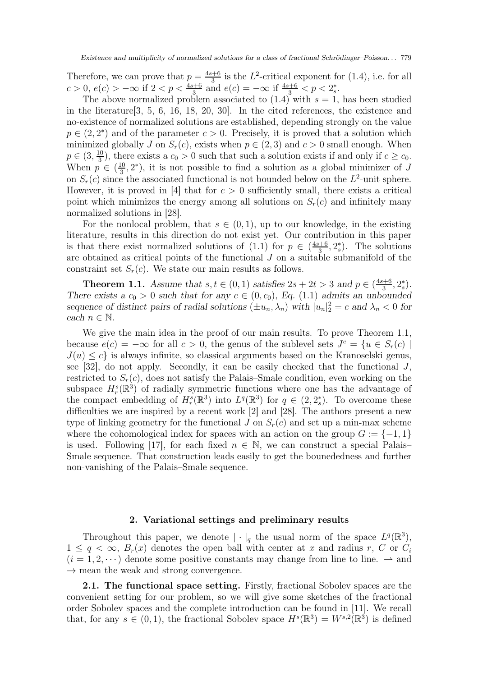Therefore, we can prove that  $p = \frac{4s+6}{3}$  $\frac{1+6}{3}$  is the L<sup>2</sup>-critical exponent for [\(1.4\)](#page-1-0), i.e. for all  $c > 0, e(c) > -\infty$  if  $2 < p < \frac{4s+6}{3}$  and  $e(c) = -\infty$  if  $\frac{4s+6}{3} < p < 2_s^*$ .

The above normalized problem associated to  $(1.4)$  with  $s = 1$ , has been studied in the literature[\[3,](#page-11-6) [5,](#page-11-7) [6,](#page-11-8) [16,](#page-11-9) [18,](#page-11-10) [20,](#page-12-16) [30\]](#page-12-17). In the cited references, the existence and no-existence of normalized solutions are established, depending strongly on the value  $p \in (2, 2^*)$  and of the parameter  $c > 0$ . Precisely, it is proved that a solution which minimized globally J on  $S_r(c)$ , exists when  $p \in (2,3)$  and  $c > 0$  small enough. When  $p \in (3, \frac{10}{3})$  $\frac{10}{3}$ , there exists a  $c_0 > 0$  such that such a solution exists if and only if  $c \geq c_0$ . When  $p \in (\frac{10}{3})$  $\frac{10}{3}$ , 2<sup>\*</sup>), it is not possible to find a solution as a global minimizer of J on  $S_r(c)$  since the associated functional is not bounded below on the  $L^2$ -unit sphere. However, it is proved in [\[4\]](#page-11-11) that for  $c > 0$  sufficiently small, there exists a critical point which minimizes the energy among all solutions on  $S_r(c)$  and infinitely many normalized solutions in [\[28\]](#page-12-18).

For the nonlocal problem, that  $s \in (0,1)$ , up to our knowledge, in the existing literature, results in this direction do not exist yet. Our contribution in this paper is that there exist normalized solutions of  $(1.1)$  for  $p \in \left(\frac{4s+6}{3}\right)$  $(\frac{3}{3}, 2_s^*)$ . The solutions are obtained as critical points of the functional  $J$  on a suitable submanifold of the constraint set  $S_r(c)$ . We state our main results as follows.

<span id="page-2-0"></span>**Theorem 1.1.** Assume that  $s, t \in (0, 1)$  satisfies  $2s + 2t > 3$  and  $p \in (\frac{4s+6}{3})$  $\frac{s+6}{3}, 2_s^*$ ). There exists a  $c_0 > 0$  such that for any  $c \in (0, c_0)$ , Eq. [\(1.1\)](#page-0-5) admits an unbounded sequence of distinct pairs of radial solutions  $(\pm u_n, \lambda_n)$  with  $|u_n|^2 = c$  and  $\lambda_n < 0$  for each  $n \in \mathbb{N}$ .

We give the main idea in the proof of our main results. To prove Theorem [1.1,](#page-2-0) because  $e(c) = -\infty$  for all  $c > 0$ , the genus of the sublevel sets  $J<sup>c</sup> = \{u \in S<sub>r</sub>(c) \mid$  $J(u) \leq c$  is always infinite, so classical arguments based on the Kranoselski genus, see  $[32]$ , do not apply. Secondly, it can be easily checked that the functional J, restricted to  $S_r(c)$ , does not satisfy the Palais–Smale condition, even working on the subspace  $H_r^s(\mathbb{R}^3)$  of radially symmetric functions where one has the advantage of the compact embedding of  $H_r^s(\mathbb{R}^3)$  into  $L^q(\mathbb{R}^3)$  for  $q \in (2, 2_s^*)$ . To overcome these difficulties we are inspired by a recent work [\[2\]](#page-11-12) and [\[28\]](#page-12-18). The authors present a new type of linking geometry for the functional J on  $S_r(c)$  and set up a min-max scheme where the cohomological index for spaces with an action on the group  $G := \{-1, 1\}$ is used. Following [\[17\]](#page-11-13), for each fixed  $n \in \mathbb{N}$ , we can construct a special Palais– Smale sequence. That construction leads easily to get the bounededness and further non-vanishing of the Palais–Smale sequence.

#### 2. Variational settings and preliminary results

Throughout this paper, we denote  $\|\cdot\|_q$  the usual norm of the space  $L^q(\mathbb{R}^3)$ ,  $1 \leq q < \infty$ ,  $B_r(x)$  denotes the open ball with center at x and radius r, C or  $C_i$  $(i = 1, 2, \dots)$  denote some positive constants may change from line to line.  $\rightarrow$  and  $\rightarrow$  mean the weak and strong convergence.

2.1. The functional space setting. Firstly, fractional Sobolev spaces are the convenient setting for our problem, so we will give some sketches of the fractional order Sobolev spaces and the complete introduction can be found in [\[11\]](#page-11-14). We recall that, for any  $s \in (0,1)$ , the fractional Sobolev space  $H^s(\mathbb{R}^3) = W^{s,2}(\mathbb{R}^3)$  is defined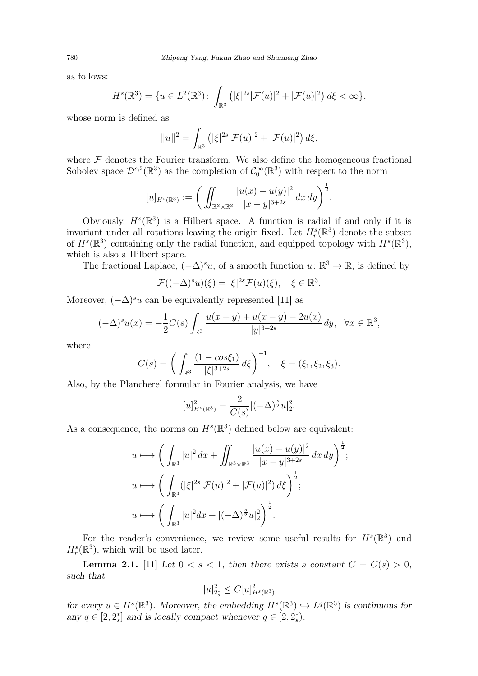as follows:

$$
H^{s}(\mathbb{R}^{3}) = \{ u \in L^{2}(\mathbb{R}^{3}) : \int_{\mathbb{R}^{3}} (|\xi|^{2s} |\mathcal{F}(u)|^{2} + |\mathcal{F}(u)|^{2}) d\xi < \infty \},
$$

whose norm is defined as

$$
||u||^{2} = \int_{\mathbb{R}^{3}} (|\xi|^{2s} |\mathcal{F}(u)|^{2} + |\mathcal{F}(u)|^{2}) d\xi,
$$

where  $\mathcal F$  denotes the Fourier transform. We also define the homogeneous fractional Sobolev space  $\mathcal{D}^{s,2}(\mathbb{R}^3)$  as the completion of  $\mathcal{C}_0^{\infty}(\mathbb{R}^3)$  with respect to the norm

$$
[u]_{H^s(\mathbb{R}^3)} := \bigg( \iint_{\mathbb{R}^3 \times \mathbb{R}^3} \frac{|u(x) - u(y)|^2}{|x - y|^{3+2s}} dx dy \bigg)^{\frac{1}{2}}.
$$

Obviously,  $H^s(\mathbb{R}^3)$  is a Hilbert space. A function is radial if and only if it is invariant under all rotations leaving the origin fixed. Let  $H_r^s(\mathbb{R}^3)$  denote the subset of  $H^s(\mathbb{R}^3)$  containing only the radial function, and equipped topology with  $H^s(\mathbb{R}^3)$ , which is also a Hilbert space.

The fractional Laplace,  $(-\Delta)^s u$ , of a smooth function  $u: \mathbb{R}^3 \to \mathbb{R}$ , is defined by

$$
\mathcal{F}((-\Delta)^s u)(\xi) = |\xi|^{2s} \mathcal{F}(u)(\xi), \quad \xi \in \mathbb{R}^3.
$$

Moreover,  $(-\Delta)^{s}u$  can be equivalently represented [\[11\]](#page-11-14) as

$$
(-\Delta)^s u(x) = -\frac{1}{2}C(s) \int_{\mathbb{R}^3} \frac{u(x+y) + u(x-y) - 2u(x)}{|y|^{3+2s}} dy, \quad \forall x \in \mathbb{R}^3,
$$

where

$$
C(s) = \left(\int_{\mathbb{R}^3} \frac{(1 - \cos \xi_1)}{|\xi|^{3+2s}} d\xi\right)^{-1}, \quad \xi = (\xi_1, \xi_2, \xi_3).
$$

Also, by the Plancherel formular in Fourier analysis, we have

$$
[u]_{H^s(\mathbb{R}^3)}^2 = \frac{2}{C(s)}|(-\Delta)^{\frac{s}{2}}u|_2^2.
$$

As a consequence, the norms on  $H^s(\mathbb{R}^3)$  defined below are equivalent:

$$
u \longmapsto \left( \int_{\mathbb{R}^3} |u|^2 \, dx + \iint_{\mathbb{R}^3 \times \mathbb{R}^3} \frac{|u(x) - u(y)|^2}{|x - y|^{3 + 2s}} \, dx \, dy \right)^{\frac{1}{2}};
$$
  
\n
$$
u \longmapsto \left( \int_{\mathbb{R}^3} (|\xi|^{2s} |\mathcal{F}(u)|^2 + |\mathcal{F}(u)|^2) \, d\xi \right)^{\frac{1}{2}};
$$
  
\n
$$
u \longmapsto \left( \int_{\mathbb{R}^3} |u|^2 \, dx + |(-\Delta)^{\frac{s}{2}} u|_2^2 \right)^{\frac{1}{2}}.
$$

For the reader's convenience, we review some useful results for  $H^s(\mathbb{R}^3)$  and  $H_r^s(\mathbb{R}^3)$ , which will be used later.

**Lemma 2.1.** [\[11\]](#page-11-14) Let  $0 < s < 1$ , then there exists a constant  $C = C(s) > 0$ , such that

$$
|u|_{2_s^*}^2 \leq C[u]_{H^s(\mathbb{R}^3)}^2
$$

for every  $u \in H^s(\mathbb{R}^3)$ . Moreover, the embedding  $H^s(\mathbb{R}^3) \hookrightarrow L^q(\mathbb{R}^3)$  is continuous for any  $q \in [2, 2_s^*]$  and is locally compact whenever  $q \in [2, 2_s^*]$ .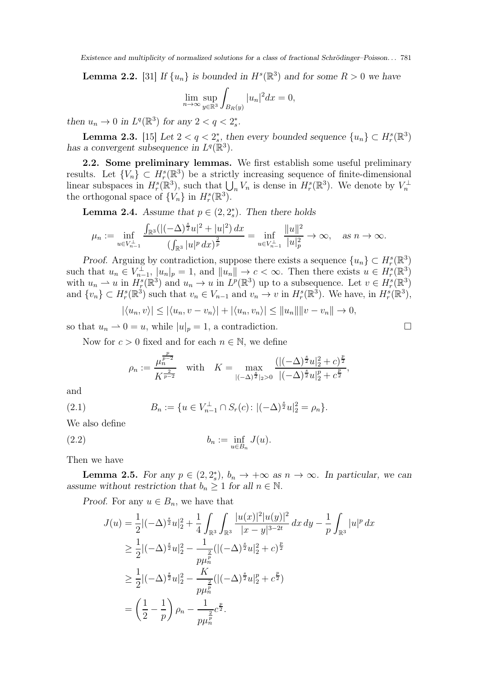**Lemma 2.2.** [\[31\]](#page-12-20) If  $\{u_n\}$  is bounded in  $H^s(\mathbb{R}^3)$  and for some  $R > 0$  we have

$$
\lim_{n \to \infty} \sup_{y \in \mathbb{R}^3} \int_{B_R(y)} |u_n|^2 dx = 0,
$$

then  $u_n \to 0$  in  $L^q(\mathbb{R}^3)$  for any  $2 < q < 2_s^*$ .

**Lemma 2.3.** [\[15\]](#page-11-15) Let  $2 < q < 2^*_s$ , then every bounded sequence  $\{u_n\} \subset H_r^s(\mathbb{R}^3)$ has a convergent subsequence in  $L^q(\mathbb{R}^3)$ .

2.2. Some preliminary lemmas. We first establish some useful preliminary results. Let  $\{V_n\} \subset H_r^s(\mathbb{R}^3)$  be a strictly increasing sequence of finite-dimensional linear subspaces in  $H_r^s(\mathbb{R}^3)$ , such that  $\bigcup_n V_n$  is dense in  $H_r^s(\mathbb{R}^3)$ . We denote by  $V_n^{\perp}$ the orthogonal space of  $\{V_n\}$  in  $H_r^s(\mathbb{R}^3)$ .

<span id="page-4-0"></span>**Lemma 2.4.** Assume that  $p \in (2, 2_s^*)$ . Then there holds

$$
\mu_n:=\inf_{u\in V_{n-1}^\perp}\frac{\int_{\mathbb{R}^3}(|(-\Delta)^{\frac{s}{2}}u|^2+|u|^2)\,dx}{(\int_{\mathbb{R}^3}|u|^p\,dx)^{\frac{2}{p}}}=\inf_{u\in V_{n-1}^\perp}\frac{\|u\|^2}{|u|_p^2}\to\infty,\quad\text{as $n\to\infty$}.
$$

Proof. Arguing by contradiction, suppose there exists a sequence  $\{u_n\} \subset H_r^s(\mathbb{R}^3)$ such that  $u_n \in V_{n-1}^{\perp}, |u_n|_p = 1$ , and  $||u_n|| \to c < \infty$ . Then there exists  $u \in H^s(\mathbb{R}^3)$ with  $u_n \rightharpoonup u$  in  $H_s^s(\mathbb{R}^3)$  and  $u_n \to u$  in  $L^p(\mathbb{R}^3)$  up to a subsequence. Let  $v \in H_s^s(\mathbb{R}^3)$ and  $\{v_n\} \subset H_r^s(\mathbb{R}^3)$  such that  $v_n \in V_{n-1}$  and  $v_n \to v$  in  $H_r^s(\mathbb{R}^3)$ . We have, in  $H_r^s(\mathbb{R}^3)$ ,

$$
|\langle u_n, v \rangle| \le |\langle u_n, v - v_n \rangle| + |\langle u_n, v_n \rangle| \le ||u_n|| ||v - v_n|| \to 0,
$$

so that  $u_n \rightharpoonup 0 = u$ , while  $|u|_p = 1$ , a contradiction.

Now for  $c > 0$  fixed and for each  $n \in \mathbb{N}$ , we define

$$
\rho_n := \frac{\mu_n^{\frac{p}{p-2}}}{K^{\frac{2}{p-2}}} \quad \text{with} \quad K = \max_{|(-\Delta)^{\frac{s}{2}}|_2 > 0} \frac{(|(-\Delta)^{\frac{s}{2}} u|_2^2 + c)^{\frac{p}{2}}}{|(-\Delta)^{\frac{s}{2}} u|_2^p + c^{\frac{p}{2}}},
$$

and

(2.1) 
$$
B_n := \{ u \in V_{n-1}^{\perp} \cap S_r(c) : |(-\Delta)^{\frac{s}{2}} u|_2^2 = \rho_n \}.
$$

We also define

$$
(2.2) \t\t b_n := \inf_{u \in B_n} J(u).
$$

Then we have

<span id="page-4-1"></span>**Lemma 2.5.** For any  $p \in (2, 2_s^*)$ ,  $b_n \to +\infty$  as  $n \to \infty$ . In particular, we can assume without restriction that  $b_n \geq 1$  for all  $n \in \mathbb{N}$ .

*Proof.* For any  $u \in B_n$ , we have that

$$
J(u) = \frac{1}{2} |(-\Delta)^{\frac{s}{2}} u|_{2}^{2} + \frac{1}{4} \int_{\mathbb{R}^{3}} \int_{\mathbb{R}^{3}} \frac{|u(x)|^{2} |u(y)|^{2}}{|x - y|^{3 - 2t}} dx dy - \frac{1}{p} \int_{\mathbb{R}^{3}} |u|^{p} dx
$$
  
\n
$$
\geq \frac{1}{2} |(-\Delta)^{\frac{s}{2}} u|_{2}^{2} - \frac{1}{p \mu_{n}^{\frac{p}{p}}} (|(-\Delta)^{\frac{s}{2}} u|_{2}^{2} + c)^{\frac{p}{2}}
$$
  
\n
$$
\geq \frac{1}{2} |(-\Delta)^{\frac{s}{2}} u|_{2}^{2} - \frac{K}{p \mu_{n}^{\frac{p}{p}}} (|(-\Delta)^{\frac{s}{2}} u|_{2}^{p} + c^{\frac{p}{2}})
$$
  
\n
$$
= \left(\frac{1}{2} - \frac{1}{p}\right) \rho_{n} - \frac{1}{p \mu_{n}^{\frac{p}{p}}} c^{\frac{p}{2}}.
$$

$$
\qquad \qquad \Box
$$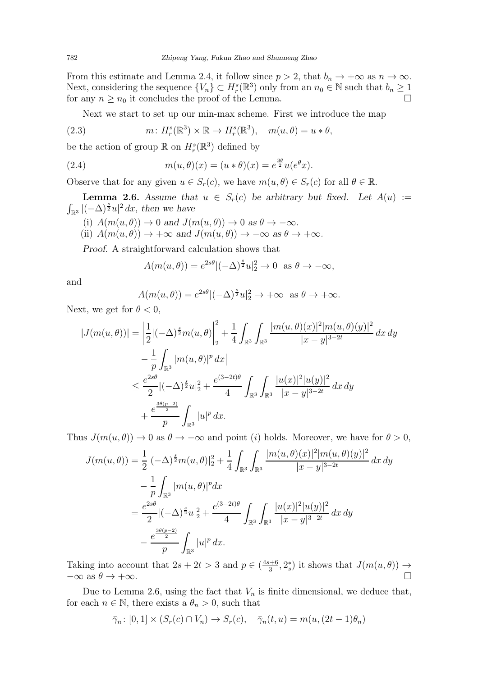From this estimate and Lemma [2.4,](#page-4-0) it follow since  $p > 2$ , that  $b_n \to +\infty$  as  $n \to \infty$ . Next, considering the sequence  $\{V_n\} \subset H_r^s(\mathbb{R}^3)$  only from an  $n_0 \in \mathbb{N}$  such that  $b_n \geq 1$ for any  $n \geq n_0$  it concludes the proof of the Lemma.

<span id="page-5-1"></span>Next we start to set up our min-max scheme. First we introduce the map

(2.3) 
$$
m: H_r^s(\mathbb{R}^3) \times \mathbb{R} \to H_r^s(\mathbb{R}^3), \quad m(u, \theta) = u * \theta,
$$

be the action of group  $\mathbb R$  on  $H_r^s(\mathbb R^3)$  defined by

(2.4) 
$$
m(u, \theta)(x) = (u * \theta)(x) = e^{\frac{3\theta}{2}}u(e^{\theta}x).
$$

Observe that for any given  $u \in S_r(c)$ , we have  $m(u, \theta) \in S_r(c)$  for all  $\theta \in \mathbb{R}$ .

<span id="page-5-0"></span>**Lemma 2.6.** Assume that  $u \in S_r(c)$  be arbitrary but fixed. Let  $A(u) :=$  $\int_{\mathbb{R}^3} |(-\Delta)^{\frac{s}{2}} u|^2 dx$ , then we have

(i)  $A(m(u, \theta)) \to 0$  and  $J(m(u, \theta)) \to 0$  as  $\theta \to -\infty$ .

(ii)  $A(m(u, \theta)) \to +\infty$  and  $J(m(u, \theta)) \to -\infty$  as  $\theta \to +\infty$ .

Proof. A straightforward calculation shows that

$$
A(m(u, \theta)) = e^{2s\theta} \left| (-\Delta)^{\frac{s}{2}} u \right|_2^2 \to 0 \text{ as } \theta \to -\infty,
$$

and

$$
A(m(u, \theta)) = e^{2s\theta} |(-\Delta)^{\frac{s}{2}} u|_2^2 \to +\infty \text{ as } \theta \to +\infty.
$$

Next, we get for  $\theta < 0$ ,

$$
|J(m(u,\theta))| = \left| \frac{1}{2} |(-\Delta)^{\frac{s}{2}} m(u,\theta) \right|_{2}^{2} + \frac{1}{4} \int_{\mathbb{R}^{3}} \int_{\mathbb{R}^{3}} \frac{|m(u,\theta)(x)|^{2} |m(u,\theta)(y)|^{2}}{|x-y|^{3-2t}} dx dy
$$
  

$$
- \frac{1}{p} \int_{\mathbb{R}^{3}} |m(u,\theta)|^{p} dx \Big|
$$
  

$$
\leq \frac{e^{2s\theta}}{2} |(-\Delta)^{\frac{s}{2}} u|_{2}^{2} + \frac{e^{(3-2t)\theta}}{4} \int_{\mathbb{R}^{3}} \int_{\mathbb{R}^{3}} \frac{|u(x)|^{2} |u(y)|^{2}}{|x-y|^{3-2t}} dx dy
$$
  

$$
+ \frac{e^{\frac{3\theta(p-2)}{2}}}{p} \int_{\mathbb{R}^{3}} |u|^{p} dx.
$$

Thus  $J(m(u, \theta)) \to 0$  as  $\theta \to -\infty$  and point (i) holds. Moreover, we have for  $\theta > 0$ ,

$$
J(m(u,\theta)) = \frac{1}{2}|(-\Delta)^{\frac{s}{2}}m(u,\theta)|_2^2 + \frac{1}{4}\int_{\mathbb{R}^3}\int_{\mathbb{R}^3}\frac{|m(u,\theta)(x)|^2|m(u,\theta)(y)|^2}{|x-y|^{3-2t}}dx\,dy
$$
  

$$
-\frac{1}{p}\int_{\mathbb{R}^3}|m(u,\theta)|^pdx
$$
  

$$
=\frac{e^{2s\theta}}{2}|(-\Delta)^{\frac{s}{2}}u|_2^2 + \frac{e^{(3-2t)\theta}}{4}\int_{\mathbb{R}^3}\int_{\mathbb{R}^3}\frac{|u(x)|^2|u(y)|^2}{|x-y|^{3-2t}}dx\,dy
$$
  

$$
-\frac{e^{\frac{3\theta(p-2)}{2}}}{p}\int_{\mathbb{R}^3}|u|^p\,dx.
$$

Taking into account that  $2s + 2t > 3$  and  $p \in (\frac{4s+6}{3})$  $\frac{d+6}{3}$ ,  $2_s^*$  it shows that  $J(m(u, \theta)) \rightarrow$  $-\infty$  as  $\theta \to +\infty$ .

Due to Lemma [2.6,](#page-5-0) using the fact that  $V_n$  is finite dimensional, we deduce that, for each  $n \in \mathbb{N}$ , there exists a  $\theta_n > 0$ , such that

$$
\bar{\gamma}_n \colon [0,1] \times (S_r(c) \cap V_n) \to S_r(c), \quad \bar{\gamma}_n(t,u) = m(u,(2t-1)\theta_n)
$$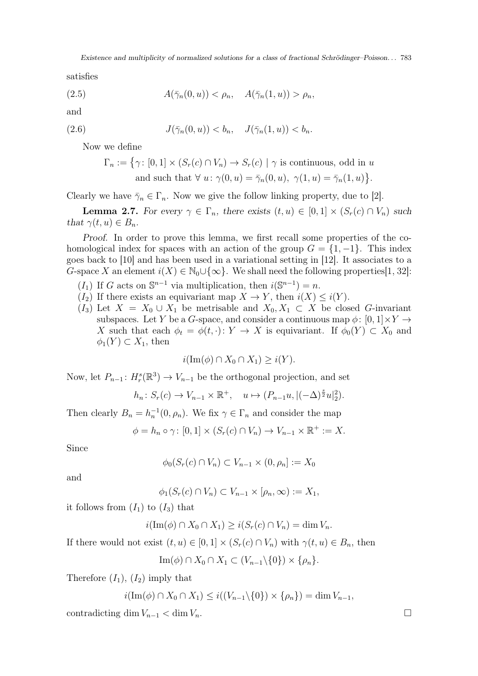satisfies

$$
(2.5) \qquad A(\bar{\gamma}_n(0, u)) < \rho_n, \quad A(\bar{\gamma}_n(1, u)) > \rho_n,
$$

and

$$
(2.6) \t\t J(\bar{\gamma}_n(0, u)) < b_n, \quad J(\bar{\gamma}_n(1, u)) < b_n.
$$

Now we define

$$
\Gamma_n := \{ \gamma \colon [0,1] \times (S_r(c) \cap V_n) \to S_r(c) \mid \gamma \text{ is continuous, odd in } u \text{ and such that } \forall u \colon \gamma(0,u) = \bar{\gamma}_n(0,u), \ \gamma(1,u) = \bar{\gamma}_n(1,u) \}.
$$

Clearly we have  $\bar{\gamma}_n \in \Gamma_n$ . Now we give the follow linking property, due to [\[2\]](#page-11-12).

<span id="page-6-0"></span>**Lemma 2.7.** For every  $\gamma \in \Gamma_n$ , there exists  $(t, u) \in [0, 1] \times (S_r(c) \cap V_n)$  such that  $\gamma(t, u) \in B_n$ .

Proof. In order to prove this lemma, we first recall some properties of the cohomological index for spaces with an action of the group  $G = \{1, -1\}$ . This index goes back to [\[10\]](#page-11-16) and has been used in a variational setting in [\[12\]](#page-11-17). It associates to a G-space X an element  $i(X) \in \mathbb{N}_0 \cup \{\infty\}$ . We shall need the following properties[\[1,](#page-11-18) [32\]](#page-12-19):

- (I<sub>1</sub>) If G acts on  $\mathbb{S}^{n-1}$  via multiplication, then  $i(\mathbb{S}^{n-1}) = n$ .
- $(I_2)$  If there exists an equivariant map  $X \to Y$ , then  $i(X) \leq i(Y)$ .
- $(I_3)$  Let  $X = X_0 \cup X_1$  be metrisable and  $X_0, X_1 \subset X$  be closed G-invariant subspaces. Let Y be a G-space, and consider a continuous map  $\phi: [0, 1] \times Y \rightarrow$ X such that each  $\phi_t = \phi(t, \cdot) \colon Y \to X$  is equivariant. If  $\phi_0(Y) \subset X_0$  and  $\phi_1(Y) \subset X_1$ , then

$$
i(\operatorname{Im}(\phi) \cap X_0 \cap X_1) \ge i(Y).
$$

Now, let  $P_{n-1}$ :  $H_r^s(\mathbb{R}^3) \to V_{n-1}$  be the orthogonal projection, and set

$$
h_n\colon S_r(c)\to V_{n-1}\times\mathbb{R}^+, \quad u\mapsto (P_{n-1}u, |(-\Delta)^{\frac{s}{2}}u|_2^2).
$$

Then clearly  $B_n = h_n^{-1}(0, \rho_n)$ . We fix  $\gamma \in \Gamma_n$  and consider the map

$$
\phi = h_n \circ \gamma \colon [0,1] \times (S_r(c) \cap V_n) \to V_{n-1} \times \mathbb{R}^+ := X.
$$

Since

$$
\phi_0(S_r(c) \cap V_n) \subset V_{n-1} \times (0, \rho_n] := X_0
$$

and

$$
\phi_1(S_r(c) \cap V_n) \subset V_{n-1} \times [\rho_n, \infty) := X_1,
$$

it follows from  $(I_1)$  to  $(I_3)$  that

$$
i(\operatorname{Im}(\phi) \cap X_0 \cap X_1) \ge i(S_r(c) \cap V_n) = \dim V_n.
$$

If there would not exist  $(t, u) \in [0, 1] \times (S_r(c) \cap V_n)$  with  $\gamma(t, u) \in B_n$ , then

 $\text{Im}(\phi) \cap X_0 \cap X_1 \subset (V_{n-1} \setminus \{0\}) \times \{\rho_n\}.$ 

Therefore  $(I_1)$ ,  $(I_2)$  imply that

$$
i(\text{Im}(\phi) \cap X_0 \cap X_1) \leq i((V_{n-1} \setminus \{0\}) \times \{\rho_n\}) = \dim V_{n-1},
$$

contradicting dim  $V_{n-1} < \dim V_n$ .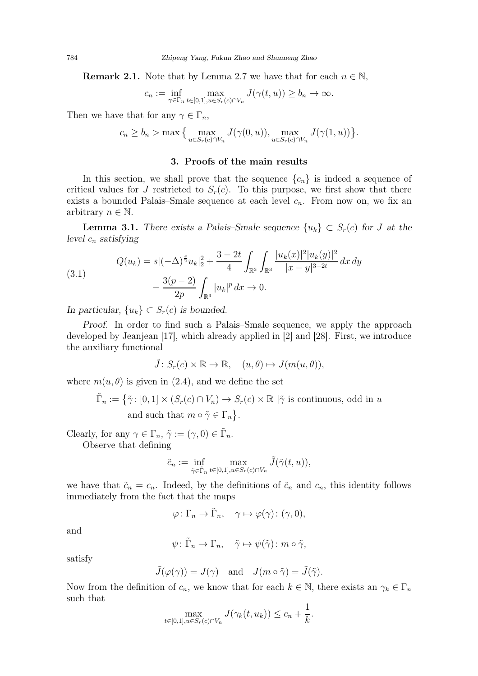**Remark 2.1.** Note that by Lemma [2.7](#page-6-0) we have that for each  $n \in \mathbb{N}$ ,

$$
c_n := \inf_{\gamma \in \Gamma_n} \max_{t \in [0,1], u \in S_r(c) \cap V_n} J(\gamma(t,u)) \ge b_n \to \infty.
$$

Then we have that for any  $\gamma \in \Gamma_n$ ,

$$
c_n \ge b_n > \max\left\{\max_{u \in S_r(c) \cap V_n} J(\gamma(0, u)), \max_{u \in S_r(c) \cap V_n} J(\gamma(1, u))\right\}.
$$

# 3. Proofs of the main results

In this section, we shall prove that the sequence  $\{c_n\}$  is indeed a sequence of critical values for J restricted to  $S_r(c)$ . To this purpose, we first show that there exists a bounded Palais–Smale sequence at each level  $c_n$ . From now on, we fix an arbitrary  $n \in \mathbb{N}$ .

<span id="page-7-0"></span>**Lemma 3.1.** There exists a Palais–Smale sequence  $\{u_k\} \subset S_r(c)$  for J at the level  $c_n$  satisfying

(3.1) 
$$
Q(u_k) = s \left| (-\Delta)^{\frac{s}{2}} u_k \right|_2^2 + \frac{3 - 2t}{4} \int_{\mathbb{R}^3} \int_{\mathbb{R}^3} \frac{|u_k(x)|^2 |u_k(y)|^2}{|x - y|^{3 - 2t}} dx dy - \frac{3(p - 2)}{2p} \int_{\mathbb{R}^3} |u_k|^p dx \to 0.
$$

In particular,  $\{u_k\} \subset S_r(c)$  is bounded.

Proof. In order to find such a Palais–Smale sequence, we apply the approach developed by Jeanjean [\[17\]](#page-11-13), which already applied in [\[2\]](#page-11-12) and [\[28\]](#page-12-18). First, we introduce the auxiliary functional

$$
\tilde{J} \colon S_r(c) \times \mathbb{R} \to \mathbb{R}, \quad (u, \theta) \mapsto J(m(u, \theta)),
$$

where  $m(u, \theta)$  is given in [\(2.4\)](#page-5-1), and we define the set

$$
\tilde{\Gamma}_n := \{ \tilde{\gamma} \colon [0,1] \times (S_r(c) \cap V_n) \to S_r(c) \times \mathbb{R} \mid \tilde{\gamma} \text{ is continuous, odd in } u \text{ and such that } m \circ \tilde{\gamma} \in \Gamma_n \}.
$$

Clearly, for any  $\gamma \in \Gamma_n$ ,  $\tilde{\gamma} := (\gamma, 0) \in \tilde{\Gamma}_n$ .

Observe that defining

$$
\tilde{c}_n := \inf_{\tilde{\gamma} \in \tilde{\Gamma}_n} \max_{t \in [0,1], u \in S_r(c) \cap V_n} \tilde{J}(\tilde{\gamma}(t,u)),
$$

we have that  $\tilde{c}_n = c_n$ . Indeed, by the definitions of  $\tilde{c}_n$  and  $c_n$ , this identity follows immediately from the fact that the maps

$$
\varphi \colon \Gamma_n \to \tilde{\Gamma}_n, \quad \gamma \mapsto \varphi(\gamma) \colon (\gamma, 0),
$$

and

$$
\psi\colon \tilde{\Gamma}_n\to \Gamma_n,\quad \tilde{\gamma}\mapsto \psi(\tilde{\gamma})\colon m\circ \tilde{\gamma},
$$

satisfy

$$
\tilde{J}(\varphi(\gamma)) = J(\gamma)
$$
 and  $J(m \circ \tilde{\gamma}) = \tilde{J}(\tilde{\gamma}).$ 

Now from the definition of  $c_n$ , we know that for each  $k \in \mathbb{N}$ , there exists an  $\gamma_k \in \Gamma_n$ such that

$$
\max_{t\in[0,1],u\in S_r(c)\cap V_n} J(\gamma_k(t,u_k))\leq c_n+\frac{1}{k}.
$$

<span id="page-7-1"></span>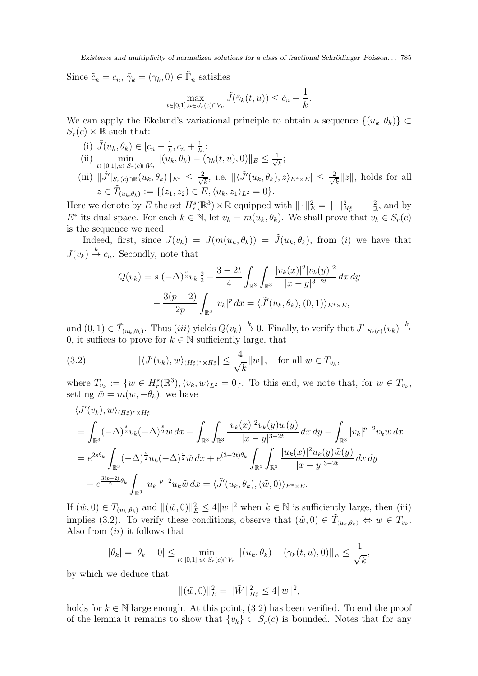Since  $\tilde{c}_n = c_n$ ,  $\tilde{\gamma}_k = (\gamma_k, 0) \in \tilde{\Gamma}_n$  satisfies

$$
\max_{t\in[0,1], u\in S_r(c)\cap V_n} \tilde{J}(\tilde{\gamma}_k(t,u)) \leq \tilde{c}_n + \frac{1}{k}.
$$

We can apply the Ekeland's variational principle to obtain a sequence  $\{(u_k, \theta_k)\}\subset$  $S_r(c) \times \mathbb{R}$  such that:

(i)  $\tilde{J}(u_k, \theta_k) \in [c_n - \frac{1}{k}]$  $\frac{1}{k}, c_n + \frac{1}{k}$  $\frac{1}{k}$ ];  $(i)$  min  $\min_{t \in [0,1], u \in S_r(c) \cap V_n} ||(u_k, \theta_k) - (\gamma_k(t, u), 0)||_E \leq \frac{1}{\sqrt{2}}$  $\overline{\overline{k}}$ (iii)  $\|\tilde{J}'|_{S_r(c)\cap \mathbb{R}}(u_k, \theta_k)\|_{E^*} \leq \frac{2}{\sqrt{\pi}}$  $\frac{k}{k}$ , i.e.  $\|\langle \tilde{J}'(u_k, \theta_k), z \rangle_{E^* \times E} \|\leq \frac{2}{\sqrt{k}}$  $z \in \tilde{T}_{(u_k,\theta_k)} := \{(z_1,z_2) \in E, \langle u_k,z_1 \rangle_{L^2} = 0\}.$ 

Here we denote by E the set  $H_r^s(\mathbb{R}^3) \times \mathbb{R}$  equipped with  $\|\cdot\|_E^2 = \|\cdot\|_{H_r^s}^2 + |\cdot|_{\mathbb{R}}^2$ , and by  $E^*$  its dual space. For each  $k \in \mathbb{N}$ , let  $v_k = m(u_k, \theta_k)$ . We shall prove that  $v_k \in S_r(c)$ is the sequence we need.

 $\frac{k}{k}||z||$ , holds for all

Indeed, first, since  $J(v_k) = J(m(u_k, \theta_k)) = \tilde{J}(u_k, \theta_k)$ , from (i) we have that  $J(v_k) \stackrel{k}{\to} c_n$ . Secondly, note that

$$
Q(v_k) = s \vert (-\Delta)^{\frac{s}{2}} v_k \vert_2^2 + \frac{3 - 2t}{4} \int_{\mathbb{R}^3} \int_{\mathbb{R}^3} \frac{|v_k(x)|^2 |v_k(y)|^2}{|x - y|^{3 - 2t}} dx dy
$$

$$
- \frac{3(p - 2)}{2p} \int_{\mathbb{R}^3} |v_k|^p dx = \langle \tilde{J}'(u_k, \theta_k), (0, 1) \rangle_{E^* \times E},
$$

and  $(0, 1) \in \tilde{T}_{(u_k, \theta_k)}$ . Thus  $(iii)$  yields  $Q(v_k) \stackrel{k}{\to} 0$ . Finally, to verify that  $J'|_{S_r(c)}(v_k) \stackrel{k}{\to}$ 0, it suffices to prove for  $k \in \mathbb{N}$  sufficiently large, that

<span id="page-8-0"></span>(3.2) 
$$
|\langle J'(v_k), w \rangle_{(H_r^s)^* \times H_r^s}| \leq \frac{4}{\sqrt{k}} ||w||, \text{ for all } w \in T_{v_k},
$$

where  $T_{v_k} := \{w \in H_r^s(\mathbb{R}^3), \langle v_k, w \rangle_{L^2} = 0\}.$  To this end, we note that, for  $w \in T_{v_k}$ , setting  $\tilde{w} = m(w, -\theta_k)$ , we have

$$
\langle J'(v_k), w \rangle_{(H_r^s)^* \times H_r^s}
$$
  
=  $\int_{\mathbb{R}^3} (-\Delta)^{\frac{s}{2}} v_k (-\Delta)^{\frac{s}{2}} w \, dx + \int_{\mathbb{R}^3} \int_{\mathbb{R}^3} \frac{|v_k(x)|^2 v_k(y) w(y)}{|x - y|^{3 - 2t}} \, dx \, dy - \int_{\mathbb{R}^3} |v_k|^{p - 2} v_k w \, dx$   
=  $e^{2s\theta_k} \int_{\mathbb{R}^3} (-\Delta)^{\frac{s}{2}} u_k (-\Delta)^{\frac{s}{2}} \tilde{w} \, dx + e^{(3 - 2t)\theta_k} \int_{\mathbb{R}^3} \int_{\mathbb{R}^3} \frac{|u_k(x)|^2 u_k(y) \tilde{w}(y)}{|x - y|^{3 - 2t}} \, dx \, dy$   
 $- e^{\frac{3(p - 2)}{2} \theta_k} \int_{\mathbb{R}^3} |u_k|^{p - 2} u_k \tilde{w} \, dx = \langle \tilde{J}'(u_k, \theta_k), (\tilde{w}, 0) \rangle_{E^* \times E}.$ 

If  $(\tilde{w}, 0) \in \tilde{T}_{(u_k, \theta_k)}$  and  $\|(\tilde{w}, 0)\|_E^2 \le 4||w||^2$  when  $k \in \mathbb{N}$  is sufficiently large, then (iii) implies [\(3.2\)](#page-8-0). To verify these conditions, observe that  $(\tilde{w}, 0) \in \tilde{T}_{(u_k, \theta_k)} \Leftrightarrow w \in T_{v_k}$ . Also from  $(ii)$  it follows that

$$
|\theta_k| = |\theta_k - 0| \le \min_{t \in [0,1], u \in S_r(c) \cap V_n} ||(u_k, \theta_k) - (\gamma_k(t, u), 0)||_E \le \frac{1}{\sqrt{k}},
$$

by which we deduce that

$$
\|(\tilde{w}, 0)\|_{E}^{2} = \|\tilde{W}\|_{H_{r}^{s}}^{2} \le 4\|w\|^{2},
$$

holds for  $k \in \mathbb{N}$  large enough. At this point, [\(3.2\)](#page-8-0) has been verified. To end the proof of the lemma it remains to show that  $\{v_k\} \subset S_r(c)$  is bounded. Notes that for any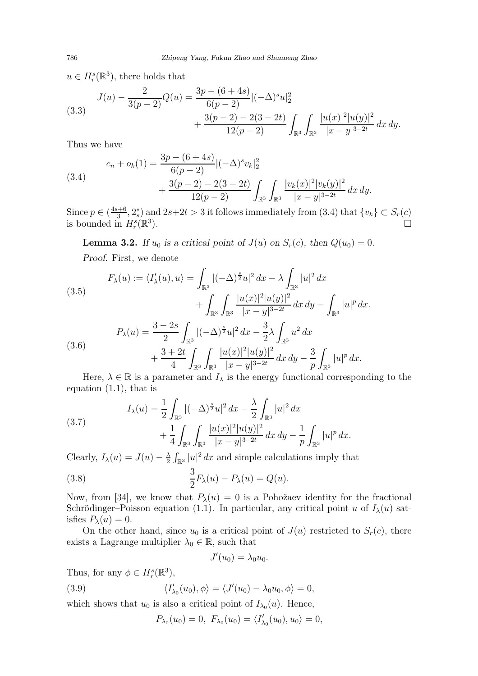$u \in H_r^s(\mathbb{R}^3)$ , there holds that

(3.3) 
$$
J(u) - \frac{2}{3(p-2)}Q(u) = \frac{3p - (6+4s)}{6(p-2)}\left|(-\Delta)^s u\right|_2^2 + \frac{3(p-2) - 2(3-2t)}{12(p-2)}\int_{\mathbb{R}^3}\int_{\mathbb{R}^3}\frac{|u(x)|^2|u(y)|^2}{|x-y|^{3-2t}}dx\,dy.
$$

Thus we have

<span id="page-9-0"></span>(3.4)  

$$
c_n + o_k(1) = \frac{3p - (6 + 4s)}{6(p-2)} |(-\Delta)^s v_k|_2^2 + \frac{3(p-2) - 2(3-2t)}{12(p-2)} \int_{\mathbb{R}^3} \int_{\mathbb{R}^3} \frac{|v_k(x)|^2 |v_k(y)|^2}{|x-y|^{3-2t}} dx dy.
$$

Since  $p \in (\frac{4s+6}{3})$  $\frac{3+6}{3}, \frac{2^*}{3}$  and  $2s+2t > 3$  it follows immediately from  $(3.4)$  that  $\{v_k\} \subset S_r(c)$ is bounded in  $H_r^s(\mathbb{R}^3)$ ).  $\Box$ 

**Lemma 3.2.** If  $u_0$  is a critical point of  $J(u)$  on  $S_r(c)$ , then  $Q(u_0) = 0$ .

Proof. First, we denote

(3.5)  
\n
$$
F_{\lambda}(u) := \langle I'_{\lambda}(u), u \rangle = \int_{\mathbb{R}^{3}} |(-\Delta)^{\frac{s}{2}} u|^{2} dx - \lambda \int_{\mathbb{R}^{3}} |u|^{2} dx
$$
\n
$$
+ \int_{\mathbb{R}^{3}} \int_{\mathbb{R}^{3}} \frac{|u(x)|^{2} |u(y)|^{2}}{|x - y|^{3 - 2t}} dx dy - \int_{\mathbb{R}^{3}} |u|^{p} dx.
$$
\n
$$
P_{\lambda}(u) = \frac{3 - 2s}{2} \int_{\mathbb{R}^{3}} |(-\Delta)^{\frac{s}{2}} u|^{2} dx - \frac{3}{2} \lambda \int_{\mathbb{R}^{3}} u^{2} dx
$$
\n
$$
+ \frac{3 + 2t}{4} \int_{\mathbb{R}^{3}} \int_{\mathbb{R}^{3}} \frac{|u(x)|^{2} |u(y)|^{2}}{|x - y|^{3 - 2t}} dx dy - \frac{3}{p} \int_{\mathbb{R}^{3}} |u|^{p} dx.
$$

Here,  $\lambda \in \mathbb{R}$  is a parameter and  $I_{\lambda}$  is the energy functional corresponding to the equation [\(1.1\)](#page-0-5), that is

(3.7) 
$$
I_{\lambda}(u) = \frac{1}{2} \int_{\mathbb{R}^3} |(-\Delta)^{\frac{s}{2}} u|^2 dx - \frac{\lambda}{2} \int_{\mathbb{R}^3} |u|^2 dx + \frac{1}{4} \int_{\mathbb{R}^3} \int_{\mathbb{R}^3} \frac{|u(x)|^2 |u(y)|^2}{|x-y|^{3-2t}} dx dy - \frac{1}{p} \int_{\mathbb{R}^3} |u|^p dx.
$$

Clearly,  $I_{\lambda}(u) = J(u) - \frac{\lambda}{2}$  $\frac{\lambda}{2} \int_{\mathbb{R}^3} |u|^2 dx$  and simple calculations imply that

(3.8) 
$$
\frac{3}{2}F_{\lambda}(u) - P_{\lambda}(u) = Q(u).
$$

Now, from [\[34\]](#page-12-7), we know that  $P_{\lambda}(u) = 0$  is a Pohožaev identity for the fractional Schrödinger–Poisson equation [\(1.1\)](#page-0-5). In particular, any critical point u of  $I_{\lambda}(u)$  satisfies  $P_{\lambda}(u) = 0$ .

On the other hand, since  $u_0$  is a critical point of  $J(u)$  restricted to  $S_r(c)$ , there exists a Lagrange multiplier  $\lambda_0 \in \mathbb{R}$ , such that

<span id="page-9-1"></span>
$$
J'(u_0)=\lambda_0 u_0.
$$

Thus, for any  $\phi \in H_r^s(\mathbb{R}^3)$ ,  $(3.9)$  $\langle \chi_{0}(u_{0}),\phi\rangle = \langle J'(u_{0})-\lambda_{0}u_{0},\phi\rangle = 0,$ 

which shows that  $u_0$  is also a critical point of  $I_{\lambda_0}(u)$ . Hence,

$$
P_{\lambda_0}(u_0) = 0, \ F_{\lambda_0}(u_0) = \langle I'_{\lambda_0}(u_0), u_0 \rangle = 0,
$$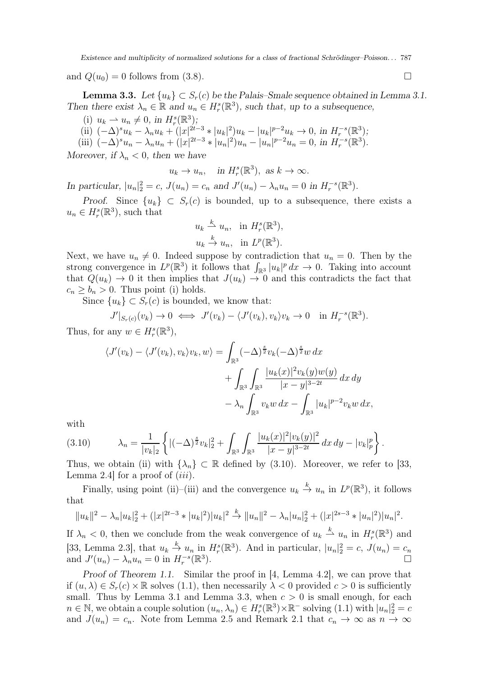and  $Q(u_0) = 0$  follows from [\(3.8\)](#page-9-1).

<span id="page-10-1"></span>**Lemma 3.3.** Let  $\{u_k\} \subset S_r(c)$  be the Palais–Smale sequence obtained in Lemma [3.1.](#page-7-0) Then there exist  $\lambda_n \in \mathbb{R}$  and  $u_n \in H_r^s(\mathbb{R}^3)$ , such that, up to a subsequence,

- (i)  $u_k \rightharpoonup u_n \neq 0$ , in  $H_r^s(\mathbb{R}^3);$
- (i)  $u_k u_n \neq 0$ , in  $H_r(\mathbb{R}^3)$ ,<br>
(ii)  $(-\Delta)^s u_k \lambda_n u_k + (|x|^{2t-3} * |u_k|^2) u_k |u_k|^{p-2} u_k \to 0$ , in  $H_r^{-s}(\mathbb{R}^3)$ ;
- (iii)  $(-\Delta)^s u_n \lambda_n u_n + (|x|^{2t-3} * |u_n|^2) u_n |u_n|^{p-2} u_n = 0$ , in  $H_r^{-s}(\mathbb{R}^3)$ .

Moreover, if  $\lambda_n < 0$ , then we have

$$
u_k \to u_n
$$
, in  $H_r^s(\mathbb{R}^3)$ , as  $k \to \infty$ .

In particular,  $|u_n|^2 = c$ ,  $J(u_n) = c_n$  and  $J'(u_n) - \lambda_n u_n = 0$  in  $H_r^{-s}(\mathbb{R}^3)$ .

Proof. Since  $\{u_k\} \subset S_r(c)$  is bounded, up to a subsequence, there exists a  $u_n \in H_r^s(\mathbb{R}^3)$ , such that

$$
u_k \stackrel{k}{\to} u_n, \text{ in } H^s_r(\mathbb{R}^3),
$$
  

$$
u_k \stackrel{k}{\to} u_n, \text{ in } L^p(\mathbb{R}^3).
$$

Next, we have  $u_n \neq 0$ . Indeed suppose by contradiction that  $u_n = 0$ . Then by the strong convergence in  $L^p(\mathbb{R}^3)$  it follows that  $\int_{\mathbb{R}^3} |u_k|^p dx \to 0$ . Taking into account that  $Q(u_k) \to 0$  it then implies that  $J(u_k) \to 0$  and this contradicts the fact that  $c_n \geq b_n > 0$ . Thus point (i) holds.

Since  ${u_k} \subset S_r(c)$  is bounded, we know that:

$$
J'|_{S_r(c)}(v_k) \to 0 \iff J'(v_k) - \langle J'(v_k), v_k \rangle v_k \to 0 \quad \text{in } H_r^{-s}(\mathbb{R}^3).
$$

Thus, for any  $w \in H_r^s(\mathbb{R}^3)$ ,

$$
\langle J'(v_k) - \langle J'(v_k), v_k \rangle v_k, w \rangle = \int_{\mathbb{R}^3} (-\Delta)^{\frac{s}{2}} v_k (-\Delta)^{\frac{s}{2}} w \, dx
$$
  
+ 
$$
\int_{\mathbb{R}^3} \int_{\mathbb{R}^3} \frac{|u_k(x)|^2 v_k(y) w(y)}{|x - y|^{3 - 2t}} dx \, dy
$$
  
- 
$$
\lambda_n \int_{\mathbb{R}^3} v_k w \, dx - \int_{\mathbb{R}^3} |u_k|^{p-2} v_k w \, dx,
$$

with

<span id="page-10-0"></span>
$$
(3.10) \qquad \lambda_n = \frac{1}{|v_k|_2} \left\{ |(-\Delta)^{\frac{s}{2}} v_k|_2^2 + \int_{\mathbb{R}^3} \int_{\mathbb{R}^3} \frac{|u_k(x)|^2 |v_k(y)|^2}{|x - y|^{3 - 2t}} \, dx \, dy - |v_k|_p^p \right\}.
$$

Thus, we obtain (ii) with  $\{\lambda_n\} \subset \mathbb{R}$  defined by [\(3.10\)](#page-10-0). Moreover, we refer to [\[33,](#page-12-6) Lemma 2.4 for a proof of  $(iii)$ .

Finally, using point (ii)–(iii) and the convergence  $u_k \stackrel{k}{\to} u_n$  in  $L^p(\mathbb{R}^3)$ , it follows that

$$
||u_k||^2 - \lambda_n |u_k|_2^2 + (|x|^{2t-3} * |u_k|^2) |u_k|^2 \stackrel{k}{\to} ||u_n||^2 - \lambda_n |u_n|_2^2 + (|x|^{2s-3} * |u_n|^2) |u_n|^2.
$$

If  $\lambda_n < 0$ , then we conclude from the weak convergence of  $u_k \stackrel{k}{\rightharpoonup} u_n$  in  $H_r^s(\mathbb{R}^3)$  and [\[33,](#page-12-6) Lemma 2.3], that  $u_k \stackrel{k}{\rightarrow} u_n$  in  $H_r^s(\mathbb{R}^3)$ . And in particular,  $|u_n|^2 = c$ ,  $J(u_n) = c_n$ and  $J'(u_n) - \lambda_n u_n = 0$  in  $H_r^{-s}(\mathbb{R}^3)$ .

Proof of Theorem [1.1.](#page-2-0) Similar the proof in [\[4,](#page-11-11) Lemma 4.2], we can prove that if  $(u, \lambda) \in S_r(c) \times \mathbb{R}$  solves [\(1.1\)](#page-0-5), then necessarily  $\lambda < 0$  provided  $c > 0$  is sufficiently small. Thus by Lemma [3.1](#page-7-0) and Lemma [3.3,](#page-10-1) when  $c > 0$  is small enough, for each  $n \in \mathbb{N}$ , we obtain a couple solution  $(u_n, \lambda_n) \in H_r^s(\mathbb{R}^3) \times \mathbb{R}^-$  solving  $(1.1)$  with  $|u_n|^2 = c$ and  $J(u_n) = c_n$ . Note from Lemma [2.5](#page-4-1) and Remark [2.1](#page-7-1) that  $c_n \to \infty$  as  $n \to \infty$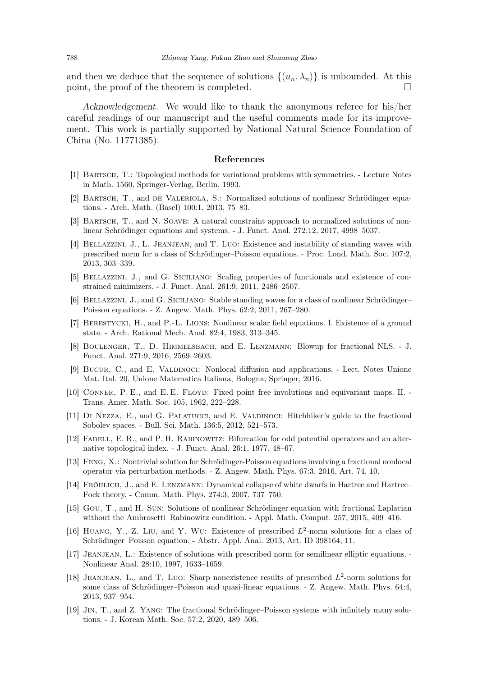and then we deduce that the sequence of solutions  $\{(u_n, \lambda_n)\}\)$  is unbounded. At this point, the proof of the theorem is completed. point, the proof of the theorem is completed.

Acknowledgement. We would like to thank the anonymous referee for his/her careful readings of our manuscript and the useful comments made for its improvement. This work is partially supported by National Natural Science Foundation of China (No. 11771385).

#### References

- <span id="page-11-18"></span><span id="page-11-12"></span>[1] Bartsch, T.: Topological methods for variational problems with symmetries. - Lecture Notes in Math. 1560, Springer-Verlag, Berlin, 1993.
- <span id="page-11-6"></span>[2] Bartsch, T., and de Valeriola, S.: Normalized solutions of nonlinear Schrödinger equations. - Arch. Math. (Basel) 100:1, 2013, 75–83.
- <span id="page-11-11"></span>[3] Bartsch, T., and N. Soave: A natural constraint approach to normalized solutions of nonlinear Schrödinger equations and systems. - J. Funct. Anal. 272:12, 2017, 4998–5037.
- [4] Bellazzini, J., L. Jeanjean, and T. Luo: Existence and instability of standing waves with prescribed norm for a class of Schrödinger–Poisson equations. - Proc. Lond. Math. Soc. 107:2, 2013, 303–339.
- <span id="page-11-8"></span><span id="page-11-7"></span>[5] Bellazzini, J., and G. Siciliano: Scaling properties of functionals and existence of constrained minimizers. - J. Funct. Anal. 261:9, 2011, 2486–2507.
- <span id="page-11-2"></span>[6] Bellazzini, J., and G. Siciliano: Stable standing waves for a class of nonlinear Schrödinger– Poisson equations. - Z. Angew. Math. Phys. 62:2, 2011, 267–280.
- <span id="page-11-5"></span>[7] Berestycki, H., and P.-L. Lions: Nonlinear scalar field equations. I. Existence of a ground state. - Arch. Rational Mech. Anal. 82:4, 1983, 313–345.
- <span id="page-11-1"></span>[8] Boulenger, T., D. Himmelsbach, and E. Lenzmann: Blowup for fractional NLS. - J. Funct. Anal. 271:9, 2016, 2569–2603.
- <span id="page-11-16"></span>[9] Bucur, C., and E. Valdinoci: Nonlocal diffusion and applications. - Lect. Notes Unione Mat. Ital. 20, Unione Matematica Italiana, Bologna, Springer, 2016.
- <span id="page-11-14"></span>[10] CONNER, P. E., and E. E. FLOYD: Fixed point free involutions and equivariant maps. II. -Trans. Amer. Math. Soc. 105, 1962, 222–228.
- <span id="page-11-17"></span>[11] Di Nezza, E., and G. Palatucci, and E. Valdinoci: Hitchhiker's guide to the fractional Sobolev spaces. - Bull. Sci. Math. 136:5, 2012, 521–573.
- <span id="page-11-3"></span>[12] FADELL, E. R., and P. H. RABINOWITZ: Bifurcation for odd potential operators and an alternative topological index. - J. Funct. Anal. 26:1, 1977, 48–67.
- <span id="page-11-0"></span>[13] Feng, X.: Nontrivial solution for Schrödinger-Poisson equations involving a fractional nonlocal operator via perturbation methods. - Z. Angew. Math. Phys. 67:3, 2016, Art. 74, 10.
- <span id="page-11-15"></span>[14] FRÖHLICH, J., and E. LENZMANN: Dynamical collapse of white dwarfs in Hartree and Hartree– Fock theory. - Comm. Math. Phys. 274:3, 2007, 737–750.
- <span id="page-11-9"></span>[15] Gou, T., and H. Sun: Solutions of nonlinear Schrödinger equation with fractional Laplacian without the Ambrosetti–Rabinowitz condition. - Appl. Math. Comput. 257, 2015, 409–416.
- [16] HUANG, Y., Z. LIU, and Y. WU: Existence of prescribed  $L^2$ -norm solutions for a class of Schrödinger–Poisson equation. - Abstr. Appl. Anal. 2013, Art. ID 398164, 11.
- <span id="page-11-13"></span>[17] JEANJEAN, L.: Existence of solutions with prescribed norm for semilinear elliptic equations. -Nonlinear Anal. 28:10, 1997, 1633–1659.
- <span id="page-11-10"></span>[18] JEANJEAN, L., and T. LUO: Sharp nonexistence results of prescribed  $L^2$ -norm solutions for some class of Schrödinger–Poisson and quasi-linear equations. - Z. Angew. Math. Phys. 64:4, 2013, 937–954.
- <span id="page-11-4"></span>[19] Jin, T., and Z. Yang: The fractional Schrödinger–Poisson systems with infinitely many solutions. - J. Korean Math. Soc. 57:2, 2020, 489–506.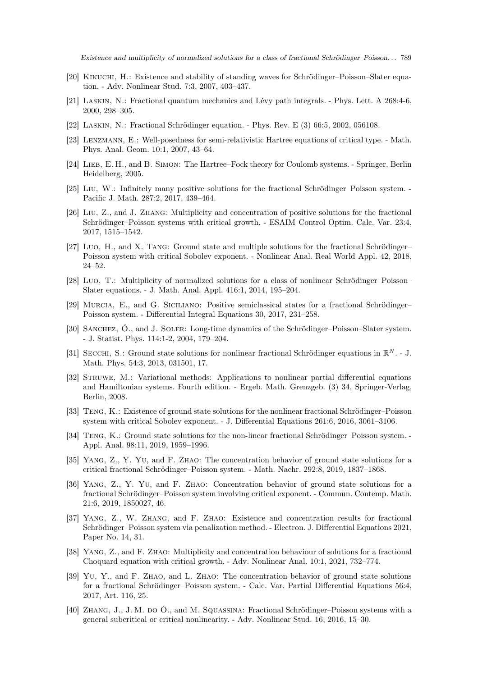- <span id="page-12-16"></span><span id="page-12-0"></span>[20] Kikuchi, H.: Existence and stability of standing waves for Schrödinger–Poisson–Slater equation. - Adv. Nonlinear Stud. 7:3, 2007, 403–437.
- <span id="page-12-1"></span>[21] Laskin, N.: Fractional quantum mechanics and Lévy path integrals. - Phys. Lett. A 268:4-6, 2000, 298–305.
- <span id="page-12-2"></span>[22] Laskin, N.: Fractional Schrödinger equation. - Phys. Rev. E (3) 66:5, 2002, 056108.
- <span id="page-12-3"></span>[23] Lenzmann, E.: Well-posedness for semi-relativistic Hartree equations of critical type. - Math. Phys. Anal. Geom. 10:1, 2007, 43–64.
- <span id="page-12-8"></span>[24] Lieb, E. H., and B. Simon: The Hartree–Fock theory for Coulomb systems. - Springer, Berlin Heidelberg, 2005.
- <span id="page-12-9"></span>[25] Liu, W.: Infinitely many positive solutions for the fractional Schrödinger–Poisson system. - Pacific J. Math. 287:2, 2017, 439–464.
- [26] Liu, Z., and J. Zhang: Multiplicity and concentration of positive solutions for the fractional Schrödinger–Poisson systems with critical growth. - ESAIM Control Optim. Calc. Var. 23:4, 2017, 1515–1542.
- <span id="page-12-10"></span>[27] Luo, H., and X. Tang: Ground state and multiple solutions for the fractional Schrödinger– Poisson system with critical Sobolev exponent. - Nonlinear Anal. Real World Appl. 42, 2018, 24–52.
- <span id="page-12-18"></span><span id="page-12-11"></span>[28] Luo, T.: Multiplicity of normalized solutions for a class of nonlinear Schrödinger–Poisson– Slater equations. - J. Math. Anal. Appl. 416:1, 2014, 195–204.
- <span id="page-12-17"></span>[29] Murcia, E., and G. Siciliano: Positive semiclassical states for a fractional Schrödinger– Poisson system. - Differential Integral Equations 30, 2017, 231–258.
- <span id="page-12-20"></span>[30] SÁNCHEZ, Ó., and J. SOLER: Long-time dynamics of the Schrödinger–Poisson–Slater system. - J. Statist. Phys. 114:1-2, 2004, 179–204.
- <span id="page-12-19"></span>[31] SECCHI, S.: Ground state solutions for nonlinear fractional Schrödinger equations in  $\mathbb{R}^N$ . - J. Math. Phys. 54:3, 2013, 031501, 17.
- [32] Struwe, M.: Variational methods: Applications to nonlinear partial differential equations and Hamiltonian systems. Fourth edition. - Ergeb. Math. Grenzgeb. (3) 34, Springer-Verlag, Berlin, 2008.
- <span id="page-12-7"></span><span id="page-12-6"></span>[33] Teng, K.: Existence of ground state solutions for the nonlinear fractional Schrödinger–Poisson system with critical Sobolev exponent. - J. Differential Equations 261:6, 2016, 3061–3106.
- <span id="page-12-12"></span>[34] Teng, K.: Ground state solutions for the non-linear fractional Schrödinger–Poisson system. - Appl. Anal. 98:11, 2019, 1959–1996.
- <span id="page-12-13"></span>[35] Yang, Z., Y. Yu, and F. Zhao: The concentration behavior of ground state solutions for a critical fractional Schrödinger–Poisson system. - Math. Nachr. 292:8, 2019, 1837–1868.
- [36] Yang, Z., Y. Yu, and F. Zhao: Concentration behavior of ground state solutions for a fractional Schrödinger–Poisson system involving critical exponent. - Commun. Contemp. Math. 21:6, 2019, 1850027, 46.
- <span id="page-12-14"></span>[37] Yang, Z., W. Zhang, and F. Zhao: Existence and concentration results for fractional Schrödinger–Poisson system via penalization method. - Electron. J. Differential Equations 2021, Paper No. 14, 31.
- <span id="page-12-15"></span><span id="page-12-4"></span>[38] Yang, Z., and F. Zhao: Multiplicity and concentration behaviour of solutions for a fractional Choquard equation with critical growth. - Adv. Nonlinear Anal. 10:1, 2021, 732–774.
- [39] Yu, Y., and F. Zhao, and L. Zhao: The concentration behavior of ground state solutions for a fractional Schrödinger–Poisson system. - Calc. Var. Partial Differential Equations 56:4, 2017, Art. 116, 25.
- <span id="page-12-5"></span>[40] Zhang, J., J. M. do Ó., and M. Squassina: Fractional Schrödinger–Poisson systems with a general subcritical or critical nonlinearity. - Adv. Nonlinear Stud. 16, 2016, 15–30.